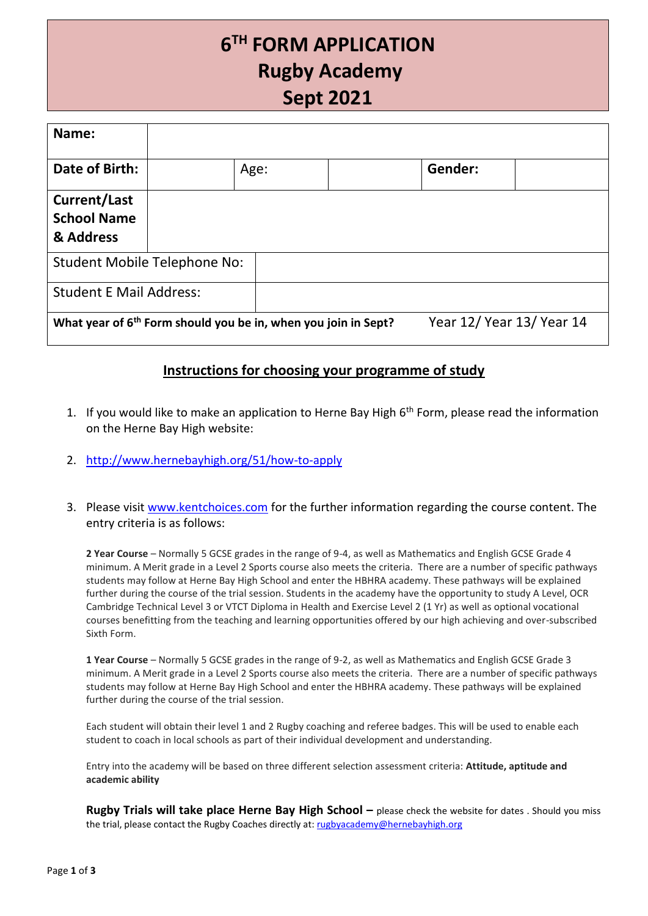## **6 TH FORM APPLICATION Rugby Academy Sept 2021**

| Name:                                                                      |  |      |                           |  |
|----------------------------------------------------------------------------|--|------|---------------------------|--|
| Date of Birth:                                                             |  | Age: | Gender:                   |  |
| <b>Current/Last</b><br><b>School Name</b><br>& Address                     |  |      |                           |  |
| <b>Student Mobile Telephone No:</b>                                        |  |      |                           |  |
| <b>Student E Mail Address:</b>                                             |  |      |                           |  |
| What year of 6 <sup>th</sup> Form should you be in, when you join in Sept? |  |      | Year 12/ Year 13/ Year 14 |  |

## **Instructions for choosing your programme of study**

- 1. If you would like to make an application to Herne Bay High  $6<sup>th</sup>$  Form, please read the information on the Herne Bay High website:
- 2. <http://www.hernebayhigh.org/51/how-to-apply>
- 3. Please visit [www.kentchoices.com](http://www.kentchoices.com/) for the further information regarding the course content. The entry criteria is as follows:

**2 Year Course** – Normally 5 GCSE grades in the range of 9-4, as well as Mathematics and English GCSE Grade 4 minimum. A Merit grade in a Level 2 Sports course also meets the criteria. There are a number of specific pathways students may follow at Herne Bay High School and enter the HBHRA academy. These pathways will be explained further during the course of the trial session. Students in the academy have the opportunity to study A Level, OCR Cambridge Technical Level 3 or VTCT Diploma in Health and Exercise Level 2 (1 Yr) as well as optional vocational courses benefitting from the teaching and learning opportunities offered by our high achieving and over-subscribed Sixth Form.

**1 Year Course** – Normally 5 GCSE grades in the range of 9-2, as well as Mathematics and English GCSE Grade 3 minimum. A Merit grade in a Level 2 Sports course also meets the criteria. There are a number of specific pathways students may follow at Herne Bay High School and enter the HBHRA academy. These pathways will be explained further during the course of the trial session.

Each student will obtain their level 1 and 2 Rugby coaching and referee badges. This will be used to enable each student to coach in local schools as part of their individual development and understanding.

Entry into the academy will be based on three different selection assessment criteria: **Attitude, aptitude and academic ability**

**Rugby Trials will take place Herne Bay High School – please check the website for dates . Should you miss** the trial, please contact the Rugby Coaches directly at: [rugbyacademy@hernebayhigh.org](mailto:rugbyacademy@hernebayhigh.org)